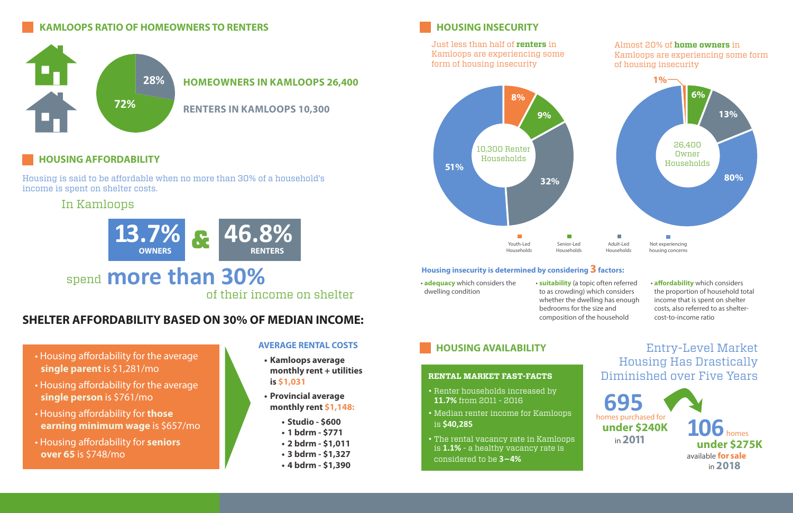# spend **more than 30%** of their income on shelter



## In Kamloops

Housing is said to be affordable when no more than 30% of a household's income is spent on shelter costs.

## **KAMLOOPS RATIO OF HOMEOWNERS TO RENTERS AND A CONSIDER THE HOUSING INSECURITY**



#### **RENTAL MARKET FAST-FACTS**

- Renter households increased by **11.7%** from 2011 - 2016
- Median renter income for Kamloops is **\$40,285**
- The rental vacancy rate in Kamloops is **1.1%** - a healthy vacancy rate is considered to be **3 – 4%**

#### **AVERAGE RENTAL COSTS**

- **• Kamloops average monthly rent + utilities is \$1,031**
- **• Provincial average monthly rent \$1,148:**
	- **• Studio \$600**
	- **• 1 bdrm \$771**
	- **• 2 bdrm \$1,011**
	- **• 3 bdrm \$1,327**
	- **• 4 bdrm \$1,390**

Just less than half of **renters** in Kamloops are experiencing some form of housing insecurity

#### Almost 20% of **home owners** in Kamloops are experiencing some form of housing insecurity

### **HOUSING AVAILABILITY**

## **HOUSING AFFORDABILITY**

- Housing affordability for the average **single parent** is \$1,281/mo
- Housing affordability for the average **single person** is \$761/mo
- Housing affordability for **those earning minimum wage** is \$657/mo
- Housing affordability for **seniors over 65** is \$748/mo
- **adequacy** which considers the dwelling condition
- bedrooms for the size and

• **suitability** (a topic often referred to as crowding) which considers whether the dwelling has enough composition of the household

• **affordability** which considers the proportion of household total income that is spent on shelter costs, also referred to as sheltercost-to-income ratio





Entry-Level Market Housing Has Drastically Diminished over Five Years



#### **Housing insecurity is determined by considering 3 factors:**

# **SHELTER AFFORDABILITY BASED ON 30% OF MEDIAN INCOME:**